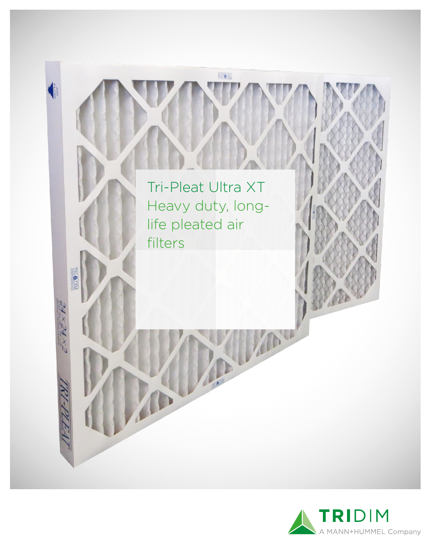

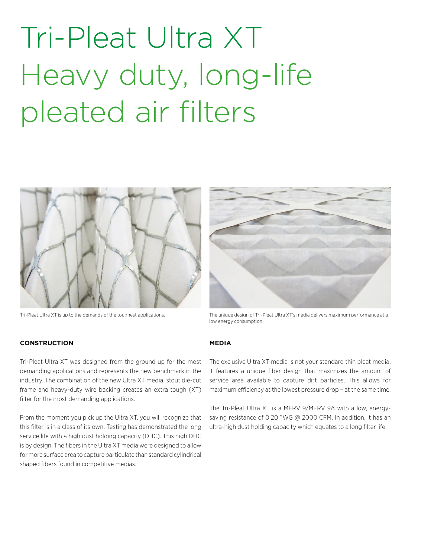## Tri-Pleat Ultra XT Heavy duty, long-life pleated air filters



**CONSTRUCTION**



Tri-Pleat Ultra XT is up to the demands of the toughest applications. The unique design of Tri-Pleat Ultra XT's media delivers maximum performance at a low energy consumption.

#### **MEDIA**

Tri-Pleat Ultra XT was designed from the ground up for the most demanding applications and represents the new benchmark in the industry. The combination of the new Ultra XT media, stout die-cut frame and heavy-duty wire backing creates an extra tough (XT) filter for the most demanding applications.

From the moment you pick up the Ultra XT, you will recognize that this filter is in a class of its own. Testing has demonstrated the long service life with a high dust holding capacity (DHC). This high DHC is by design. The fibers in the Ultra XT media were designed to allow for more surface area to capture particulate than standard cylindrical shaped fibers found in competitive medias.

The exclusive Ultra XT media is not your standard thin pleat media. It features a unique fiber design that maximizes the amount of service area available to capture dirt particles. This allows for maximum efficiency at the lowest pressure drop – at the same time.

The Tri-Pleat Ultra XT is a MERV 9/MERV 9A with a low, energysaving resistance of 0.20 "WG @ 2000 CFM. In addition, it has an ultra-high dust holding capacity which equates to a long filter life.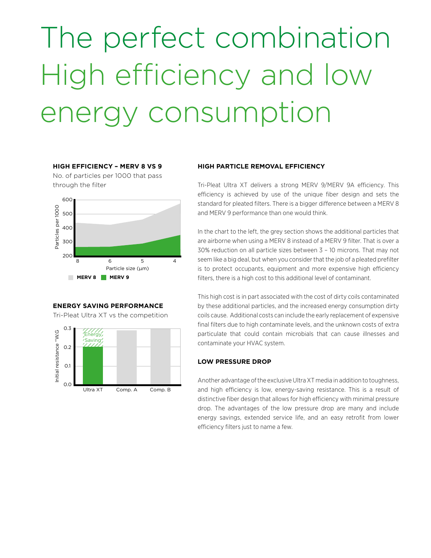# The perfect combination High efficiency and low energy consumption

### **HIGH EFFICIENCY – MERV 8 VS 9**

No. of particles per 1000 that pass through the filter



### **ENERGY SAVING PERFORMANCE**

Tri-Pleat Ultra XT vs the competition



#### **HIGH PARTICLE REMOVAL EFFICIENCY**

Tri-Pleat Ultra XT delivers a strong MERV 9/MERV 9A efficiency. This efficiency is achieved by use of the unique fiber design and sets the standard for pleated filters. There is a bigger difference between a MERV 8 and MERV 9 performance than one would think.

In the chart to the left, the grey section shows the additional particles that are airborne when using a MERV 8 instead of a MERV 9 filter. That is over a 30% reduction on all particle sizes between 3 – 10 microns. That may not seem like a big deal, but when you consider that the job of a pleated prefilter is to protect occupants, equipment and more expensive high efficiency filters, there is a high cost to this additional level of contaminant.

This high cost is in part associated with the cost of dirty coils contaminated by these additional particles, and the increased energy consumption dirty coils cause. Additional costs can include the early replacement of expensive final filters due to high contaminate levels, and the unknown costs of extra particulate that could contain microbials that can cause illnesses and contaminate your HVAC system.

#### **LOW PRESSURE DROP**

Another advantage of the exclusive Ultra XT media in addition to toughness, and high efficiency is low, energy-saving resistance. This is a result of distinctive fiber design that allows for high efficiency with minimal pressure drop. The advantages of the low pressure drop are many and include energy savings, extended service life, and an easy retrofit from lower efficiency filters just to name a few.